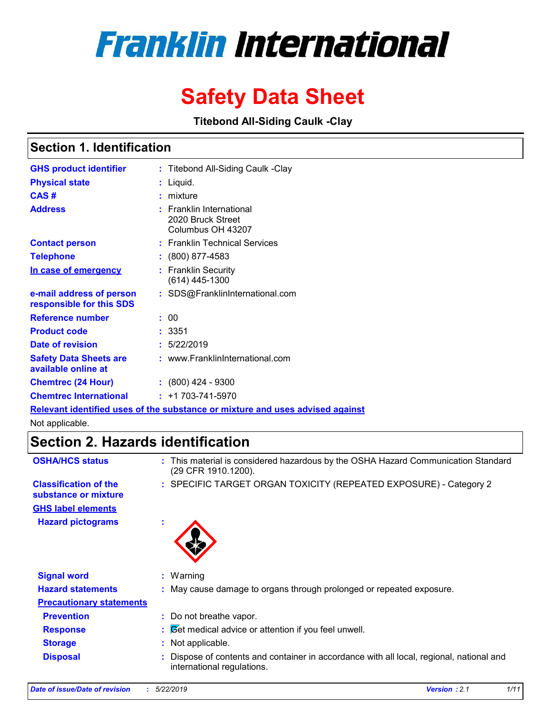# **Franklin International**

# **Safety Data Sheet**

**Titebond All-Siding Caulk -Clay**

### **Section 1. Identification**

| <b>GHS product identifier</b>                        | : Titebond All-Siding Caulk -Clay                                             |
|------------------------------------------------------|-------------------------------------------------------------------------------|
| <b>Physical state</b>                                | : Liquid.                                                                     |
| CAS#                                                 | $:$ mixture                                                                   |
| <b>Address</b>                                       | $:$ Franklin International<br>2020 Bruck Street<br>Columbus OH 43207          |
| <b>Contact person</b>                                | : Franklin Technical Services                                                 |
| <b>Telephone</b>                                     | : (800) 877-4583                                                              |
| In case of emergency                                 | : Franklin Security<br>$(614)$ 445-1300                                       |
| e-mail address of person<br>responsible for this SDS | : SDS@FranklinInternational.com                                               |
| <b>Reference number</b>                              | : 00                                                                          |
| <b>Product code</b>                                  | : 3351                                                                        |
| Date of revision                                     | : 5/22/2019                                                                   |
| <b>Safety Data Sheets are</b><br>available online at | : www.FranklinInternational.com                                               |
| <b>Chemtrec (24 Hour)</b>                            | $: (800)$ 424 - 9300                                                          |
| <b>Chemtrec International</b>                        | $: +1703 - 741 - 5970$                                                        |
|                                                      | Relevant identified uses of the substance or mixture and uses advised against |

Not applicable.

## **Section 2. Hazards identification**

| <b>OSHA/HCS status</b>                               | This material is considered hazardous by the OSHA Hazard Communication Standard<br>÷.<br>(29 CFR 1910.1200).         |
|------------------------------------------------------|----------------------------------------------------------------------------------------------------------------------|
| <b>Classification of the</b><br>substance or mixture | : SPECIFIC TARGET ORGAN TOXICITY (REPEATED EXPOSURE) - Category 2                                                    |
| <b>GHS label elements</b>                            |                                                                                                                      |
| <b>Hazard pictograms</b>                             | ٠                                                                                                                    |
| <b>Signal word</b>                                   | $:$ Warning                                                                                                          |
| <b>Hazard statements</b>                             | : May cause damage to organs through prolonged or repeated exposure.                                                 |
| <b>Precautionary statements</b>                      |                                                                                                                      |
| <b>Prevention</b>                                    | : Do not breathe vapor.                                                                                              |
| <b>Response</b>                                      | $\mathcal{B}$ $\mathcal{B}$ et medical advice or attention if you feel unwell.                                       |
| <b>Storage</b>                                       | Not applicable.<br>÷.                                                                                                |
| <b>Disposal</b>                                      | Dispose of contents and container in accordance with all local, regional, national and<br>international regulations. |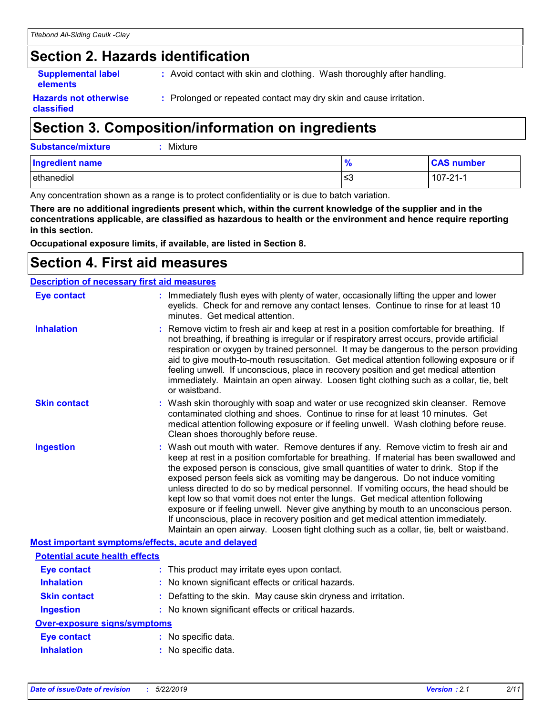# **Section 2. Hazards identification**

**Supplemental label elements**

**:** Avoid contact with skin and clothing. Wash thoroughly after handling.

**Hazards not otherwise classified**

**:** Prolonged or repeated contact may dry skin and cause irritation.

# **Section 3. Composition/information on ingredients**

| <b>Substance/mixture</b> | $:$ Mixture |
|--------------------------|-------------|
|--------------------------|-------------|

| <b>Ingredient name</b> | - 0<br>70 | <b>CAS number</b> |
|------------------------|-----------|-------------------|
| ethanediol             | l≤3       | $107 - 21 - 1$    |

Any concentration shown as a range is to protect confidentiality or is due to batch variation.

**There are no additional ingredients present which, within the current knowledge of the supplier and in the concentrations applicable, are classified as hazardous to health or the environment and hence require reporting in this section.**

**Occupational exposure limits, if available, are listed in Section 8.**

## **Section 4. First aid measures**

| <b>Description of necessary first aid measures</b> |                                                                                                                                                                                                                                                                                                                                                                                                                                                                                                                                                                                                                                                                                                                                                                                                                   |  |  |  |  |
|----------------------------------------------------|-------------------------------------------------------------------------------------------------------------------------------------------------------------------------------------------------------------------------------------------------------------------------------------------------------------------------------------------------------------------------------------------------------------------------------------------------------------------------------------------------------------------------------------------------------------------------------------------------------------------------------------------------------------------------------------------------------------------------------------------------------------------------------------------------------------------|--|--|--|--|
| <b>Eye contact</b>                                 | : Immediately flush eyes with plenty of water, occasionally lifting the upper and lower<br>eyelids. Check for and remove any contact lenses. Continue to rinse for at least 10<br>minutes. Get medical attention.                                                                                                                                                                                                                                                                                                                                                                                                                                                                                                                                                                                                 |  |  |  |  |
| <b>Inhalation</b>                                  | : Remove victim to fresh air and keep at rest in a position comfortable for breathing. If<br>not breathing, if breathing is irregular or if respiratory arrest occurs, provide artificial<br>respiration or oxygen by trained personnel. It may be dangerous to the person providing<br>aid to give mouth-to-mouth resuscitation. Get medical attention following exposure or if<br>feeling unwell. If unconscious, place in recovery position and get medical attention<br>immediately. Maintain an open airway. Loosen tight clothing such as a collar, tie, belt<br>or waistband.                                                                                                                                                                                                                              |  |  |  |  |
| <b>Skin contact</b>                                | : Wash skin thoroughly with soap and water or use recognized skin cleanser. Remove<br>contaminated clothing and shoes. Continue to rinse for at least 10 minutes. Get<br>medical attention following exposure or if feeling unwell. Wash clothing before reuse.<br>Clean shoes thoroughly before reuse.                                                                                                                                                                                                                                                                                                                                                                                                                                                                                                           |  |  |  |  |
| <b>Ingestion</b>                                   | : Wash out mouth with water. Remove dentures if any. Remove victim to fresh air and<br>keep at rest in a position comfortable for breathing. If material has been swallowed and<br>the exposed person is conscious, give small quantities of water to drink. Stop if the<br>exposed person feels sick as vomiting may be dangerous. Do not induce vomiting<br>unless directed to do so by medical personnel. If vomiting occurs, the head should be<br>kept low so that vomit does not enter the lungs. Get medical attention following<br>exposure or if feeling unwell. Never give anything by mouth to an unconscious person.<br>If unconscious, place in recovery position and get medical attention immediately.<br>Maintain an open airway. Loosen tight clothing such as a collar, tie, belt or waistband. |  |  |  |  |
| Most important symptoms/effects, acute and delayed |                                                                                                                                                                                                                                                                                                                                                                                                                                                                                                                                                                                                                                                                                                                                                                                                                   |  |  |  |  |
| <b>Potential acute health effects</b>              |                                                                                                                                                                                                                                                                                                                                                                                                                                                                                                                                                                                                                                                                                                                                                                                                                   |  |  |  |  |
| <b>Eye contact</b>                                 | : This product may irritate eyes upon contact.                                                                                                                                                                                                                                                                                                                                                                                                                                                                                                                                                                                                                                                                                                                                                                    |  |  |  |  |
| <b>Inhalation</b>                                  | : No known significant effects or critical hazards.                                                                                                                                                                                                                                                                                                                                                                                                                                                                                                                                                                                                                                                                                                                                                               |  |  |  |  |
| <b>Skin contact</b>                                | : Defatting to the skin. May cause skin dryness and irritation.                                                                                                                                                                                                                                                                                                                                                                                                                                                                                                                                                                                                                                                                                                                                                   |  |  |  |  |
| <b>Ingestion</b>                                   | : No known significant effects or critical hazards.                                                                                                                                                                                                                                                                                                                                                                                                                                                                                                                                                                                                                                                                                                                                                               |  |  |  |  |
| <b>Over-exposure signs/symptoms</b>                |                                                                                                                                                                                                                                                                                                                                                                                                                                                                                                                                                                                                                                                                                                                                                                                                                   |  |  |  |  |
| <b>Eye contact</b>                                 | : No specific data.                                                                                                                                                                                                                                                                                                                                                                                                                                                                                                                                                                                                                                                                                                                                                                                               |  |  |  |  |
| <b>Inhalation</b>                                  | : No specific data.                                                                                                                                                                                                                                                                                                                                                                                                                                                                                                                                                                                                                                                                                                                                                                                               |  |  |  |  |
|                                                    |                                                                                                                                                                                                                                                                                                                                                                                                                                                                                                                                                                                                                                                                                                                                                                                                                   |  |  |  |  |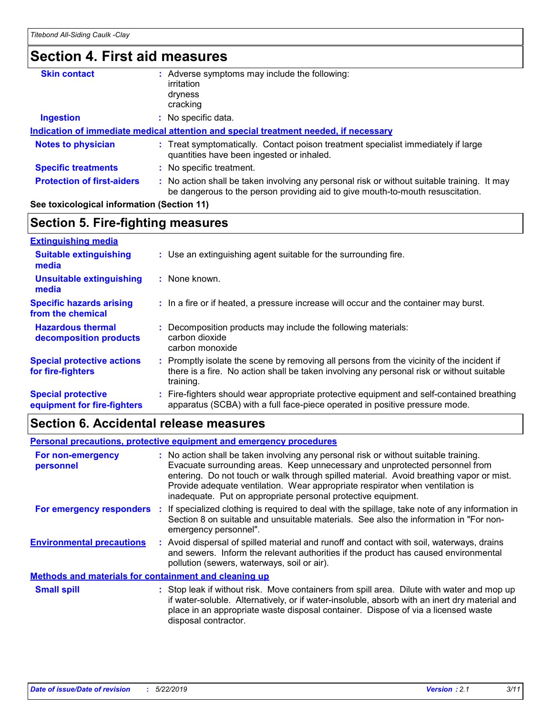### **Section 4. First aid measures**

| <b>Skin contact</b>               | Adverse symptoms may include the following:                                                                                                                                   |
|-----------------------------------|-------------------------------------------------------------------------------------------------------------------------------------------------------------------------------|
|                                   | irritation                                                                                                                                                                    |
|                                   | dryness                                                                                                                                                                       |
|                                   | cracking                                                                                                                                                                      |
| <b>Ingestion</b>                  | No specific data.                                                                                                                                                             |
|                                   | Indication of immediate medical attention and special treatment needed, if necessary                                                                                          |
| <b>Notes to physician</b>         | : Treat symptomatically. Contact poison treatment specialist immediately if large<br>quantities have been ingested or inhaled.                                                |
| <b>Specific treatments</b>        | : No specific treatment.                                                                                                                                                      |
| <b>Protection of first-aiders</b> | : No action shall be taken involving any personal risk or without suitable training. It may<br>be dangerous to the person providing aid to give mouth-to-mouth resuscitation. |
|                                   |                                                                                                                                                                               |

#### **See toxicological information (Section 11)**

#### **Section 5. Fire-fighting measures**

| <b>Extinguishing media</b>                               |                                                                                                                                                                                                     |
|----------------------------------------------------------|-----------------------------------------------------------------------------------------------------------------------------------------------------------------------------------------------------|
| <b>Suitable extinguishing</b><br>media                   | : Use an extinguishing agent suitable for the surrounding fire.                                                                                                                                     |
| <b>Unsuitable extinguishing</b><br>media                 | : None known.                                                                                                                                                                                       |
| <b>Specific hazards arising</b><br>from the chemical     | : In a fire or if heated, a pressure increase will occur and the container may burst.                                                                                                               |
| <b>Hazardous thermal</b><br>decomposition products       | Decomposition products may include the following materials:<br>carbon dioxide<br>carbon monoxide                                                                                                    |
| <b>Special protective actions</b><br>for fire-fighters   | : Promptly isolate the scene by removing all persons from the vicinity of the incident if<br>there is a fire. No action shall be taken involving any personal risk or without suitable<br>training. |
| <b>Special protective</b><br>equipment for fire-fighters | : Fire-fighters should wear appropriate protective equipment and self-contained breathing<br>apparatus (SCBA) with a full face-piece operated in positive pressure mode.                            |

### **Section 6. Accidental release measures**

#### **Environmental precautions Personal precautions, protective equipment and emergency procedures :** Avoid dispersal of spilled material and runoff and contact with soil, waterways, drains **:** No action shall be taken involving any personal risk or without suitable training. Evacuate surrounding areas. Keep unnecessary and unprotected personnel from entering. Do not touch or walk through spilled material. Avoid breathing vapor or mist. Provide adequate ventilation. Wear appropriate respirator when ventilation is inadequate. Put on appropriate personal protective equipment. and sewers. Inform the relevant authorities if the product has caused environmental pollution (sewers, waterways, soil or air). : Stop leak if without risk. Move containers from spill area. Dilute with water and mop up if water-soluble. Alternatively, or if water-insoluble, absorb with an inert dry material and place in an appropriate waste disposal container. Dispose of via a licensed waste disposal contractor. **Small spill : Methods and materials for containment and cleaning up For non-emergency personnel For emergency responders :** If specialized clothing is required to deal with the spillage, take note of any information in Section 8 on suitable and unsuitable materials. See also the information in "For nonemergency personnel".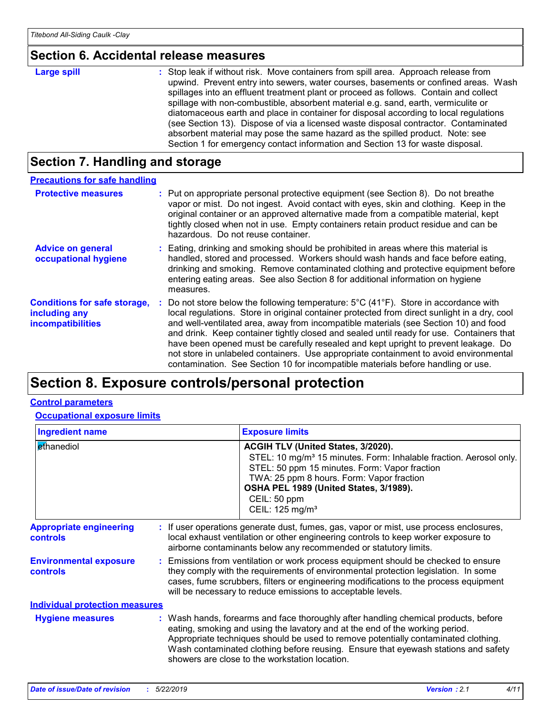#### **Section 6. Accidental release measures**

#### : Stop leak if without risk. Move containers from spill area. Approach release from upwind. Prevent entry into sewers, water courses, basements or confined areas. Wash spillages into an effluent treatment plant or proceed as follows. Contain and collect spillage with non-combustible, absorbent material e.g. sand, earth, vermiculite or diatomaceous earth and place in container for disposal according to local regulations (see Section 13). Dispose of via a licensed waste disposal contractor. Contaminated absorbent material may pose the same hazard as the spilled product. Note: see Section 1 for emergency contact information and Section 13 for waste disposal. **Large spill :**

### **Section 7. Handling and storage**

| <b>Precautions for safe handling</b>                                             |                                                                                                                                                                                                                                                                                                                                                                                                                                                                                                                                                                                                                                                                   |
|----------------------------------------------------------------------------------|-------------------------------------------------------------------------------------------------------------------------------------------------------------------------------------------------------------------------------------------------------------------------------------------------------------------------------------------------------------------------------------------------------------------------------------------------------------------------------------------------------------------------------------------------------------------------------------------------------------------------------------------------------------------|
| <b>Protective measures</b>                                                       | : Put on appropriate personal protective equipment (see Section 8). Do not breathe<br>vapor or mist. Do not ingest. Avoid contact with eyes, skin and clothing. Keep in the<br>original container or an approved alternative made from a compatible material, kept<br>tightly closed when not in use. Empty containers retain product residue and can be<br>hazardous. Do not reuse container.                                                                                                                                                                                                                                                                    |
| <b>Advice on general</b><br>occupational hygiene                                 | Eating, drinking and smoking should be prohibited in areas where this material is<br>handled, stored and processed. Workers should wash hands and face before eating,<br>drinking and smoking. Remove contaminated clothing and protective equipment before<br>entering eating areas. See also Section 8 for additional information on hygiene<br>measures.                                                                                                                                                                                                                                                                                                       |
| <b>Conditions for safe storage,</b><br>including any<br><b>incompatibilities</b> | Do not store below the following temperature: $5^{\circ}$ C (41 <sup>°</sup> F). Store in accordance with<br>local regulations. Store in original container protected from direct sunlight in a dry, cool<br>and well-ventilated area, away from incompatible materials (see Section 10) and food<br>and drink. Keep container tightly closed and sealed until ready for use. Containers that<br>have been opened must be carefully resealed and kept upright to prevent leakage. Do<br>not store in unlabeled containers. Use appropriate containment to avoid environmental<br>contamination. See Section 10 for incompatible materials before handling or use. |

# **Section 8. Exposure controls/personal protection**

#### **Control parameters**

**Occupational exposure limits**

| <b>Ingredient name</b>                            |  |                                                                                                                                                                                                                                                  | <b>Exposure limits</b>                                                                                                                                                                                                                                                                                                                                                                            |  |
|---------------------------------------------------|--|--------------------------------------------------------------------------------------------------------------------------------------------------------------------------------------------------------------------------------------------------|---------------------------------------------------------------------------------------------------------------------------------------------------------------------------------------------------------------------------------------------------------------------------------------------------------------------------------------------------------------------------------------------------|--|
| ethanediol                                        |  |                                                                                                                                                                                                                                                  | <b>ACGIH TLV (United States, 3/2020).</b><br>STEL: 10 mg/m <sup>3</sup> 15 minutes. Form: Inhalable fraction. Aerosol only.<br>STEL: 50 ppm 15 minutes. Form: Vapor fraction<br>TWA: 25 ppm 8 hours. Form: Vapor fraction<br>OSHA PEL 1989 (United States, 3/1989).<br>CEIL: 50 ppm<br>CEIL: 125 mg/m <sup>3</sup>                                                                                |  |
| <b>Appropriate engineering</b><br><b>controls</b> |  | : If user operations generate dust, fumes, gas, vapor or mist, use process enclosures,<br>local exhaust ventilation or other engineering controls to keep worker exposure to<br>airborne contaminants below any recommended or statutory limits. |                                                                                                                                                                                                                                                                                                                                                                                                   |  |
| <b>Environmental exposure</b><br><b>controls</b>  |  |                                                                                                                                                                                                                                                  | : Emissions from ventilation or work process equipment should be checked to ensure<br>they comply with the requirements of environmental protection legislation. In some<br>cases, fume scrubbers, filters or engineering modifications to the process equipment<br>will be necessary to reduce emissions to acceptable levels.                                                                   |  |
| <b>Individual protection measures</b>             |  |                                                                                                                                                                                                                                                  |                                                                                                                                                                                                                                                                                                                                                                                                   |  |
| <b>Hygiene measures</b>                           |  |                                                                                                                                                                                                                                                  | : Wash hands, forearms and face thoroughly after handling chemical products, before<br>eating, smoking and using the lavatory and at the end of the working period.<br>Appropriate techniques should be used to remove potentially contaminated clothing.<br>Wash contaminated clothing before reusing. Ensure that eyewash stations and safety<br>showers are close to the workstation location. |  |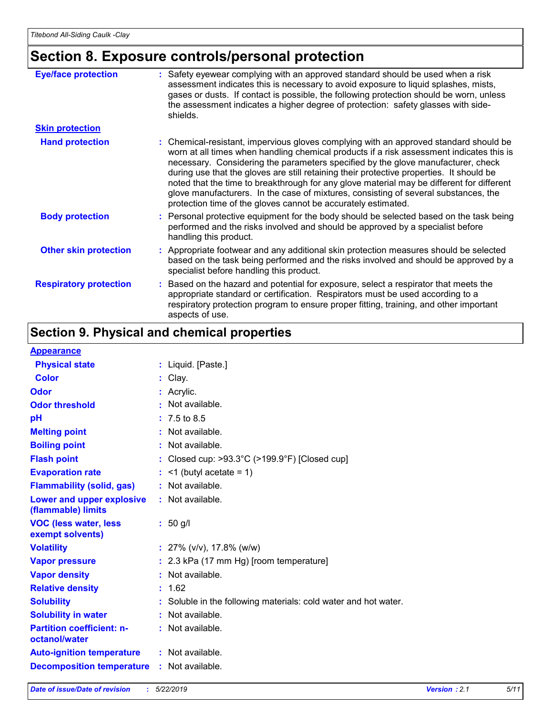# **Section 8. Exposure controls/personal protection**

| <b>Eye/face protection</b>    | : Safety eyewear complying with an approved standard should be used when a risk<br>assessment indicates this is necessary to avoid exposure to liquid splashes, mists,<br>gases or dusts. If contact is possible, the following protection should be worn, unless<br>the assessment indicates a higher degree of protection: safety glasses with side-<br>shields.                                                                                                                                                                                                                                                     |
|-------------------------------|------------------------------------------------------------------------------------------------------------------------------------------------------------------------------------------------------------------------------------------------------------------------------------------------------------------------------------------------------------------------------------------------------------------------------------------------------------------------------------------------------------------------------------------------------------------------------------------------------------------------|
| <b>Skin protection</b>        |                                                                                                                                                                                                                                                                                                                                                                                                                                                                                                                                                                                                                        |
| <b>Hand protection</b>        | : Chemical-resistant, impervious gloves complying with an approved standard should be<br>worn at all times when handling chemical products if a risk assessment indicates this is<br>necessary. Considering the parameters specified by the glove manufacturer, check<br>during use that the gloves are still retaining their protective properties. It should be<br>noted that the time to breakthrough for any glove material may be different for different<br>glove manufacturers. In the case of mixtures, consisting of several substances, the<br>protection time of the gloves cannot be accurately estimated. |
| <b>Body protection</b>        | : Personal protective equipment for the body should be selected based on the task being<br>performed and the risks involved and should be approved by a specialist before<br>handling this product.                                                                                                                                                                                                                                                                                                                                                                                                                    |
| <b>Other skin protection</b>  | : Appropriate footwear and any additional skin protection measures should be selected<br>based on the task being performed and the risks involved and should be approved by a<br>specialist before handling this product.                                                                                                                                                                                                                                                                                                                                                                                              |
| <b>Respiratory protection</b> | : Based on the hazard and potential for exposure, select a respirator that meets the<br>appropriate standard or certification. Respirators must be used according to a<br>respiratory protection program to ensure proper fitting, training, and other important<br>aspects of use.                                                                                                                                                                                                                                                                                                                                    |

# **Section 9. Physical and chemical properties**

#### **Appearance**

| <u> Друсигинск</u>                                |                                                                 |
|---------------------------------------------------|-----------------------------------------------------------------|
| <b>Physical state</b>                             | : Liquid. [Paste.]                                              |
| <b>Color</b>                                      | $:$ Clay.                                                       |
| <b>Odor</b>                                       | $:$ Acrylic.                                                    |
| <b>Odor threshold</b>                             | : Not available.                                                |
| pH                                                | $: 7.5 \text{ to } 8.5$                                         |
| <b>Melting point</b>                              | : Not available.                                                |
| <b>Boiling point</b>                              | : Not available.                                                |
| <b>Flash point</b>                                | : Closed cup: >93.3°C (>199.9°F) [Closed cup]                   |
| <b>Evaporation rate</b>                           | $:$ <1 (butyl acetate = 1)                                      |
| <b>Flammability (solid, gas)</b>                  | : Not available.                                                |
| Lower and upper explosive<br>(flammable) limits   | $:$ Not available.                                              |
| <b>VOC (less water, less)</b><br>exempt solvents) | $: 50$ g/l                                                      |
| <b>Volatility</b>                                 | : $27\%$ (v/v), 17.8% (w/w)                                     |
| <b>Vapor pressure</b>                             | : 2.3 kPa (17 mm Hg) [room temperature]                         |
| <b>Vapor density</b>                              | : Not available.                                                |
| <b>Relative density</b>                           | : 1.62                                                          |
| <b>Solubility</b>                                 | : Soluble in the following materials: cold water and hot water. |
| <b>Solubility in water</b>                        | : Not available.                                                |
| <b>Partition coefficient: n-</b><br>octanol/water | : Not available.                                                |
| <b>Auto-ignition temperature</b>                  | : Not available.                                                |
| <b>Decomposition temperature</b>                  | : Not available.                                                |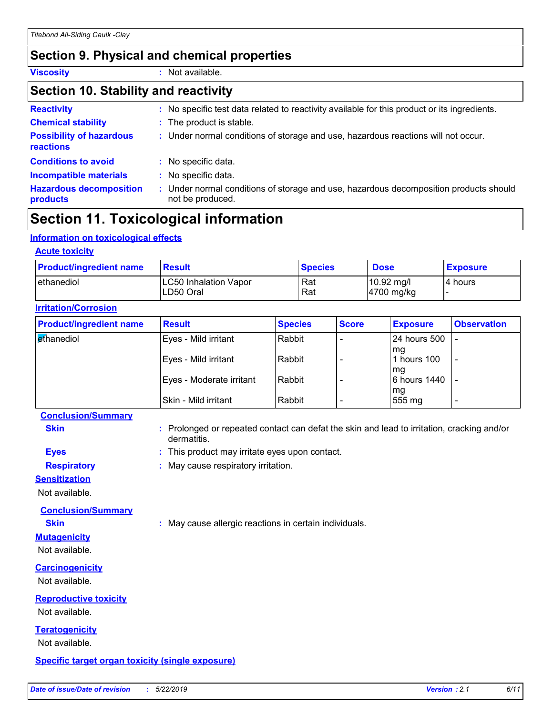### **Section 9. Physical and chemical properties**

**Viscosity :** Not available.

### **Section 10. Stability and reactivity**

| <b>Reactivity</b>                            | : No specific test data related to reactivity available for this product or its ingredients.              |
|----------------------------------------------|-----------------------------------------------------------------------------------------------------------|
| <b>Chemical stability</b>                    | : The product is stable.                                                                                  |
| <b>Possibility of hazardous</b><br>reactions | : Under normal conditions of storage and use, hazardous reactions will not occur.                         |
| <b>Conditions to avoid</b>                   | : No specific data.                                                                                       |
| <b>Incompatible materials</b>                | : No specific data.                                                                                       |
| <b>Hazardous decomposition</b><br>products   | : Under normal conditions of storage and use, hazardous decomposition products should<br>not be produced. |

## **Section 11. Toxicological information**

#### **Information on toxicological effects**

| <b>Acute toxicity</b>                      |                |                                                |                 |  |  |  |
|--------------------------------------------|----------------|------------------------------------------------|-----------------|--|--|--|
| <b>Result</b>                              | <b>Species</b> | <b>Dose</b>                                    | <b>Exposure</b> |  |  |  |
| <b>LC50 Inhalation Vapor</b><br>ILD50 Oral | Rat<br>Rat     | $10.92 \text{ mg/l}$<br>$ 4700 \text{ mg/kg} $ | I4 hours        |  |  |  |
|                                            |                |                                                |                 |  |  |  |

| <b>Product/ingredient name</b> | <b>Result</b>            | <b>Species</b> | <b>Score</b> | <b>Exposure</b>    | <b>Observation</b> |  |  |
|--------------------------------|--------------------------|----------------|--------------|--------------------|--------------------|--|--|
| <b>ethanediol</b>              | Eyes - Mild irritant     | Rabbit         |              | l 24 hours 500     |                    |  |  |
|                                | Eyes - Mild irritant     | Rabbit         |              | mq<br>l hours 100  | -                  |  |  |
|                                | Eyes - Moderate irritant | Rabbit         |              | mg<br>6 hours 1440 |                    |  |  |
|                                | Skin - Mild irritant     | Rabbit         |              | mg<br>555 mg       |                    |  |  |

#### **Conclusion/Summary**

**Skin Example 20 :** Prolonged or repeated contact can defat the skin and lead to irritation, cracking and/or dermatitis.

- **Eyes :** This product may irritate eyes upon contact.
- **Respiratory :** May cause respiratory irritation.

#### **Sensitization**

Not available.

**Conclusion/Summary**

**Skin :** May cause allergic reactions in certain individuals.

#### **Mutagenicity** Not available.

**Carcinogenicity**

Not available.

### **Reproductive toxicity**

Not available.

### **Teratogenicity**

Not available.

#### **Specific target organ toxicity (single exposure)**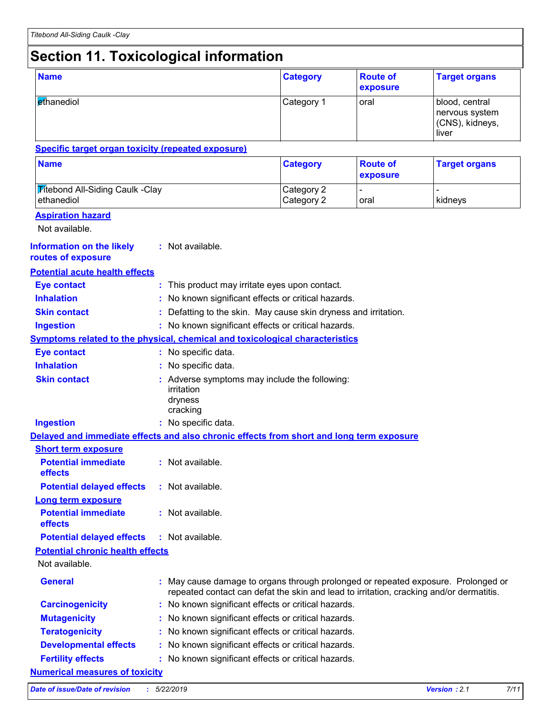# **Section 11. Toxicological information**

| <b>Name</b>                                                                              |  |                                                                                                                                                                            | <b>Category</b>          | <b>Route of</b><br>exposure | <b>Target organs</b>                                         |  |  |
|------------------------------------------------------------------------------------------|--|----------------------------------------------------------------------------------------------------------------------------------------------------------------------------|--------------------------|-----------------------------|--------------------------------------------------------------|--|--|
| ethanediol                                                                               |  |                                                                                                                                                                            | Category 1               | oral                        | blood, central<br>nervous system<br>(CNS), kidneys,<br>liver |  |  |
| <b>Specific target organ toxicity (repeated exposure)</b>                                |  |                                                                                                                                                                            |                          |                             |                                                              |  |  |
| <b>Name</b>                                                                              |  |                                                                                                                                                                            | <b>Category</b>          | <b>Route of</b><br>exposure | <b>Target organs</b>                                         |  |  |
| <b>Titebond All-Siding Caulk -Clay</b><br>ethanediol                                     |  |                                                                                                                                                                            | Category 2<br>Category 2 | $\blacksquare$<br>oral      | kidneys                                                      |  |  |
| <b>Aspiration hazard</b>                                                                 |  |                                                                                                                                                                            |                          |                             |                                                              |  |  |
| Not available.                                                                           |  |                                                                                                                                                                            |                          |                             |                                                              |  |  |
| <b>Information on the likely</b><br>routes of exposure                                   |  | : Not available.                                                                                                                                                           |                          |                             |                                                              |  |  |
| <b>Potential acute health effects</b>                                                    |  |                                                                                                                                                                            |                          |                             |                                                              |  |  |
| <b>Eye contact</b>                                                                       |  | : This product may irritate eyes upon contact.                                                                                                                             |                          |                             |                                                              |  |  |
| <b>Inhalation</b>                                                                        |  | No known significant effects or critical hazards.                                                                                                                          |                          |                             |                                                              |  |  |
| <b>Skin contact</b>                                                                      |  | Defatting to the skin. May cause skin dryness and irritation.                                                                                                              |                          |                             |                                                              |  |  |
| <b>Ingestion</b>                                                                         |  | : No known significant effects or critical hazards.                                                                                                                        |                          |                             |                                                              |  |  |
| <b>Symptoms related to the physical, chemical and toxicological characteristics</b>      |  |                                                                                                                                                                            |                          |                             |                                                              |  |  |
| <b>Eye contact</b>                                                                       |  | : No specific data.                                                                                                                                                        |                          |                             |                                                              |  |  |
| <b>Inhalation</b>                                                                        |  | No specific data.                                                                                                                                                          |                          |                             |                                                              |  |  |
| <b>Skin contact</b>                                                                      |  | Adverse symptoms may include the following:<br>irritation<br>dryness<br>cracking                                                                                           |                          |                             |                                                              |  |  |
| <b>Ingestion</b>                                                                         |  | : No specific data.                                                                                                                                                        |                          |                             |                                                              |  |  |
| Delayed and immediate effects and also chronic effects from short and long term exposure |  |                                                                                                                                                                            |                          |                             |                                                              |  |  |
| <b>Short term exposure</b>                                                               |  |                                                                                                                                                                            |                          |                             |                                                              |  |  |
| <b>Potential immediate</b><br>effects                                                    |  | : Not available.                                                                                                                                                           |                          |                             |                                                              |  |  |
| <b>Potential delayed effects</b>                                                         |  | : Not available.                                                                                                                                                           |                          |                             |                                                              |  |  |
| <b>Long term exposure</b>                                                                |  |                                                                                                                                                                            |                          |                             |                                                              |  |  |
| <b>Potential immediate</b><br>effects                                                    |  | : Not available.                                                                                                                                                           |                          |                             |                                                              |  |  |
| <b>Potential delayed effects</b>                                                         |  | : Not available.                                                                                                                                                           |                          |                             |                                                              |  |  |
| <b>Potential chronic health effects</b>                                                  |  |                                                                                                                                                                            |                          |                             |                                                              |  |  |
| Not available.                                                                           |  |                                                                                                                                                                            |                          |                             |                                                              |  |  |
| <b>General</b>                                                                           |  | May cause damage to organs through prolonged or repeated exposure. Prolonged or<br>repeated contact can defat the skin and lead to irritation, cracking and/or dermatitis. |                          |                             |                                                              |  |  |
| <b>Carcinogenicity</b>                                                                   |  | : No known significant effects or critical hazards.                                                                                                                        |                          |                             |                                                              |  |  |
| <b>Mutagenicity</b>                                                                      |  | No known significant effects or critical hazards.                                                                                                                          |                          |                             |                                                              |  |  |
| <b>Teratogenicity</b>                                                                    |  | No known significant effects or critical hazards.                                                                                                                          |                          |                             |                                                              |  |  |
| <b>Developmental effects</b>                                                             |  | : No known significant effects or critical hazards.                                                                                                                        |                          |                             |                                                              |  |  |
| <b>Fertility effects</b>                                                                 |  | : No known significant effects or critical hazards.                                                                                                                        |                          |                             |                                                              |  |  |
| <b>Numerical measures of toxicity</b>                                                    |  |                                                                                                                                                                            |                          |                             |                                                              |  |  |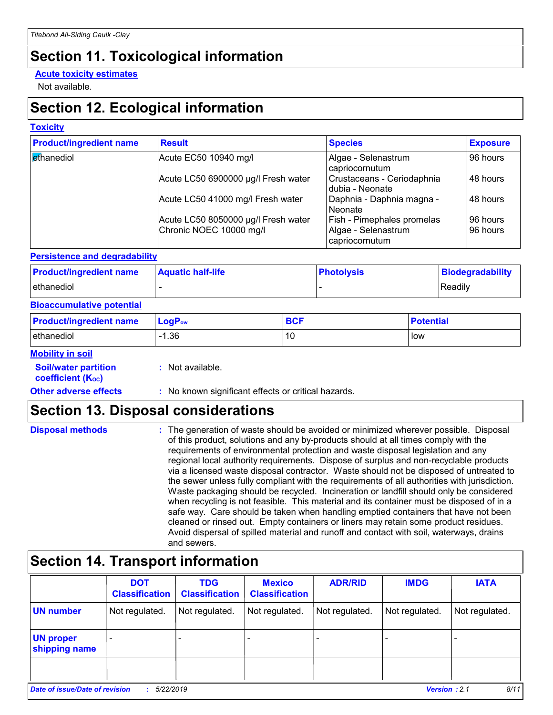# **Section 11. Toxicological information**

#### **Acute toxicity estimates**

Not available.

# **Section 12. Ecological information**

#### **Toxicity**

| <b>Product/ingredient name</b> | <b>Result</b>                                                  | <b>Species</b>                                                      | <b>Exposure</b>      |
|--------------------------------|----------------------------------------------------------------|---------------------------------------------------------------------|----------------------|
| ethanediol                     | Acute EC50 10940 mg/l                                          | Algae - Selenastrum<br>capriocornutum                               | 96 hours             |
|                                | Acute LC50 6900000 µg/l Fresh water                            | Crustaceans - Ceriodaphnia<br>dubia - Neonate                       | 48 hours             |
|                                | Acute LC50 41000 mg/l Fresh water                              | Daphnia - Daphnia magna -<br>Neonate                                | 48 hours             |
|                                | Acute LC50 8050000 µg/l Fresh water<br>Chronic NOEC 10000 mg/l | Fish - Pimephales promelas<br>Algae - Selenastrum<br>capriocornutum | 96 hours<br>96 hours |

#### **Persistence and degradability**

| <b>Product/ingredient name</b> | <b>Aquatic half-life</b> | <b>Photolysis</b> | Biodegradability |
|--------------------------------|--------------------------|-------------------|------------------|
| ethanediol                     |                          |                   | Readily          |

#### **Bioaccumulative potential**

| <b>Product/ingredient name</b> | $\mathsf{LogP}_\mathsf{ow}$ | BCF | <b>Potential</b> |
|--------------------------------|-----------------------------|-----|------------------|
| ethanediol                     | .36                         | 10  | low              |

#### **Mobility in soil**

| <b>Soil/water partition</b> |  |
|-----------------------------|--|
| <b>coefficient (Koc)</b>    |  |

**:** Not available.

**Other adverse effects** : No known significant effects or critical hazards.

# **Section 13. Disposal considerations**

| <b>Disposal methods</b> | : The generation of waste should be avoided or minimized wherever possible. Disposal<br>of this product, solutions and any by-products should at all times comply with the<br>requirements of environmental protection and waste disposal legislation and any<br>regional local authority requirements. Dispose of surplus and non-recyclable products<br>via a licensed waste disposal contractor. Waste should not be disposed of untreated to<br>the sewer unless fully compliant with the requirements of all authorities with jurisdiction.<br>Waste packaging should be recycled. Incineration or landfill should only be considered<br>when recycling is not feasible. This material and its container must be disposed of in a<br>safe way. Care should be taken when handling emptied containers that have not been<br>cleaned or rinsed out. Empty containers or liners may retain some product residues. |
|-------------------------|---------------------------------------------------------------------------------------------------------------------------------------------------------------------------------------------------------------------------------------------------------------------------------------------------------------------------------------------------------------------------------------------------------------------------------------------------------------------------------------------------------------------------------------------------------------------------------------------------------------------------------------------------------------------------------------------------------------------------------------------------------------------------------------------------------------------------------------------------------------------------------------------------------------------|
|                         | Avoid dispersal of spilled material and runoff and contact with soil, waterways, drains<br>and sewers.                                                                                                                                                                                                                                                                                                                                                                                                                                                                                                                                                                                                                                                                                                                                                                                                              |

# **Section 14. Transport information**

|                                                                            | <b>DOT</b><br><b>Classification</b> | <b>TDG</b><br><b>Classification</b> | <b>Mexico</b><br><b>Classification</b> | <b>ADR/RID</b> | <b>IMDG</b>    | <b>IATA</b>    |
|----------------------------------------------------------------------------|-------------------------------------|-------------------------------------|----------------------------------------|----------------|----------------|----------------|
| <b>UN number</b>                                                           | Not regulated.                      | Not regulated.                      | Not regulated.                         | Not regulated. | Not regulated. | Not regulated. |
| <b>UN proper</b><br>shipping name                                          |                                     |                                     |                                        |                |                |                |
|                                                                            |                                     |                                     |                                        |                |                |                |
| 8/11<br>Date of issue/Date of revision<br><b>Version: 2.1</b><br>5/22/2019 |                                     |                                     |                                        |                |                |                |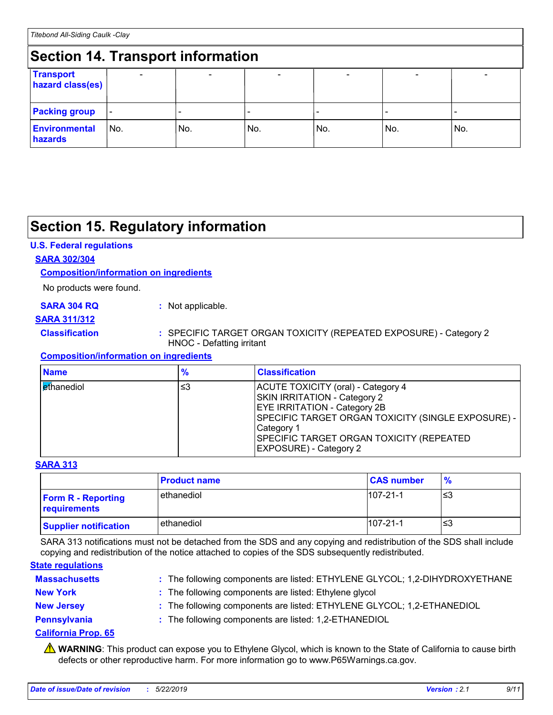# **Section 14. Transport information**

| Section 14. Transport information    |                          |     |     |     |     |     |  |
|--------------------------------------|--------------------------|-----|-----|-----|-----|-----|--|
| <b>Transport</b><br>hazard class(es) |                          |     |     |     |     |     |  |
| <b>Packing group</b>                 | $\overline{\phantom{a}}$ |     |     |     |     |     |  |
| <b>Environmental</b><br>hazards      | l No.                    | No. | No. | No. | No. | No. |  |

# **Section 15. Regulatory information**

#### **U.S. Federal regulations**

#### **SARA 302/304**

#### **Composition/information on ingredients**

No products were found.

#### **SARA 304 RQ :** Not applicable.

#### **SARA 311/312**

#### **Classification :** SPECIFIC TARGET ORGAN TOXICITY (REPEATED EXPOSURE) - Category 2 HNOC - Defatting irritant

#### **Composition/information on ingredients**

| <b>Name</b>                | $\frac{9}{6}$ | <b>Classification</b>                                                                                                                                                                                                                                             |
|----------------------------|---------------|-------------------------------------------------------------------------------------------------------------------------------------------------------------------------------------------------------------------------------------------------------------------|
| l <mark>et</mark> hanediol | ≤3            | ACUTE TOXICITY (oral) - Category 4<br><b>SKIN IRRITATION - Category 2</b><br><b>EYE IRRITATION - Category 2B</b><br>SPECIFIC TARGET ORGAN TOXICITY (SINGLE EXPOSURE) -<br>Category 1<br>SPECIFIC TARGET ORGAN TOXICITY (REPEATED<br><b>EXPOSURE) - Category 2</b> |

#### **SARA 313**

|                                           | <b>Product name</b> | <b>CAS number</b> | $\frac{9}{6}$ |
|-------------------------------------------|---------------------|-------------------|---------------|
| <b>Form R - Reporting</b><br>requirements | ethanediol          | $107 - 21 - 1$    | ו≥ו           |
| <b>Supplier notification</b>              | ethanediol          | $107 - 21 - 1$    | '≤3           |

SARA 313 notifications must not be detached from the SDS and any copying and redistribution of the SDS shall include copying and redistribution of the notice attached to copies of the SDS subsequently redistributed.

#### **State regulations**

| <b>Massachusetts</b> | : The following components are listed: ETHYLENE GLYCOL; 1,2-DIHYDROXYETHANE |
|----------------------|-----------------------------------------------------------------------------|
| <b>New York</b>      | : The following components are listed: Ethylene glycol                      |
| <b>New Jersey</b>    | : The following components are listed: ETHYLENE GLYCOL; 1,2-ETHANEDIOL      |
| Pennsylvania         | : The following components are listed: 1,2-ETHANEDIOL                       |

#### **California Prop. 65**

**A** WARNING: This product can expose you to Ethylene Glycol, which is known to the State of California to cause birth defects or other reproductive harm. For more information go to www.P65Warnings.ca.gov.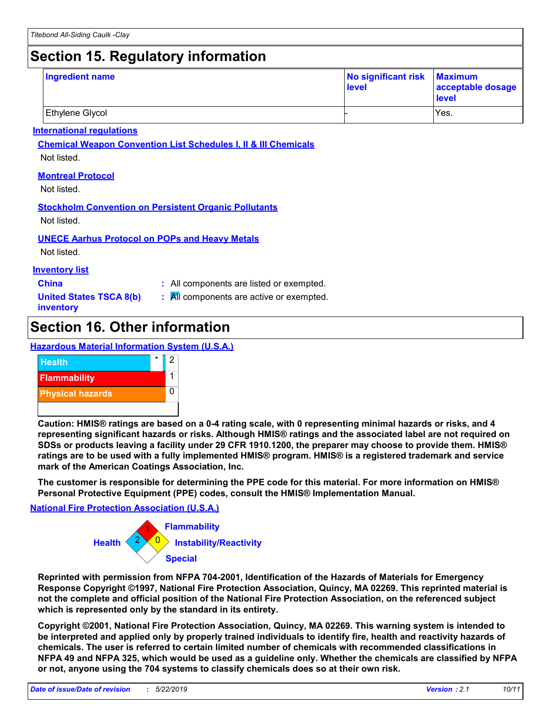# **Section 15. Regulatory information**

| <b>Ingredient name</b> | No significant risk Maximum<br>level | acceptable dosage<br>level |
|------------------------|--------------------------------------|----------------------------|
| Ethylene Glycol        |                                      | IYes.                      |

#### **International regulations**

**Chemical Weapon Convention List Schedules I, II & III Chemicals**

Not listed.

#### **Montreal Protocol**

Not listed.

#### **Stockholm Convention on Persistent Organic Pollutants**

Not listed.

#### **UNECE Aarhus Protocol on POPs and Heavy Metals**

Not listed.

#### **Inventory list**

- **China :** All components are listed or exempted.
- **United States TSCA 8(b) inventory**
- **:** All components are active or exempted.

# **Section 16. Other information**

#### **Hazardous Material Information System (U.S.A.)**



**Caution: HMIS® ratings are based on a 0-4 rating scale, with 0 representing minimal hazards or risks, and 4 representing significant hazards or risks. Although HMIS® ratings and the associated label are not required on SDSs or products leaving a facility under 29 CFR 1910.1200, the preparer may choose to provide them. HMIS® ratings are to be used with a fully implemented HMIS® program. HMIS® is a registered trademark and service mark of the American Coatings Association, Inc.**

**The customer is responsible for determining the PPE code for this material. For more information on HMIS® Personal Protective Equipment (PPE) codes, consult the HMIS® Implementation Manual.**

#### **National Fire Protection Association (U.S.A.)**



**Reprinted with permission from NFPA 704-2001, Identification of the Hazards of Materials for Emergency Response Copyright ©1997, National Fire Protection Association, Quincy, MA 02269. This reprinted material is not the complete and official position of the National Fire Protection Association, on the referenced subject which is represented only by the standard in its entirety.**

**Copyright ©2001, National Fire Protection Association, Quincy, MA 02269. This warning system is intended to be interpreted and applied only by properly trained individuals to identify fire, health and reactivity hazards of chemicals. The user is referred to certain limited number of chemicals with recommended classifications in NFPA 49 and NFPA 325, which would be used as a guideline only. Whether the chemicals are classified by NFPA or not, anyone using the 704 systems to classify chemicals does so at their own risk.**